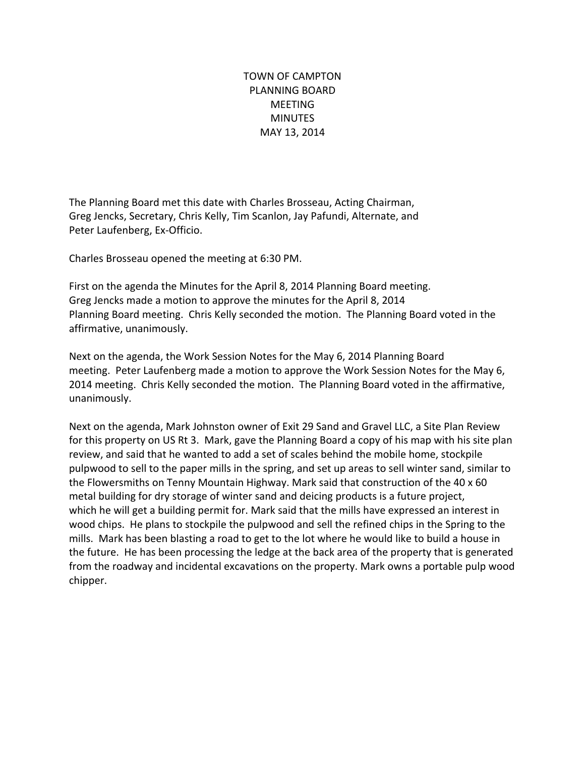TOWN OF CAMPTON PLANNING BOARD MEETING **MINUTES** MAY 13, 2014

The Planning Board met this date with Charles Brosseau, Acting Chairman, Greg Jencks, Secretary, Chris Kelly, Tim Scanlon, Jay Pafundi, Alternate, and Peter Laufenberg, Ex-Officio.

Charles Brosseau opened the meeting at 6:30 PM.

First on the agenda the Minutes for the April 8, 2014 Planning Board meeting. Greg Jencks made a motion to approve the minutes for the April 8, 2014 Planning Board meeting. Chris Kelly seconded the motion. The Planning Board voted in the affirmative, unanimously.

Next on the agenda, the Work Session Notes for the May 6, 2014 Planning Board meeting. Peter Laufenberg made a motion to approve the Work Session Notes for the May 6, 2014 meeting. Chris Kelly seconded the motion. The Planning Board voted in the affirmative, unanimously.

Next on the agenda, Mark Johnston owner of Exit 29 Sand and Gravel LLC, a Site Plan Review for this property on US Rt 3. Mark, gave the Planning Board a copy of his map with his site plan review, and said that he wanted to add a set of scales behind the mobile home, stockpile pulpwood to sell to the paper mills in the spring, and set up areas to sell winter sand, similar to the Flowersmiths on Tenny Mountain Highway. Mark said that construction of the  $40 \times 60$ metal building for dry storage of winter sand and deicing products is a future project, which he will get a building permit for. Mark said that the mills have expressed an interest in wood chips. He plans to stockpile the pulpwood and sell the refined chips in the Spring to the mills. Mark has been blasting a road to get to the lot where he would like to build a house in the future. He has been processing the ledge at the back area of the property that is generated from the roadway and incidental excavations on the property. Mark owns a portable pulp wood chipper.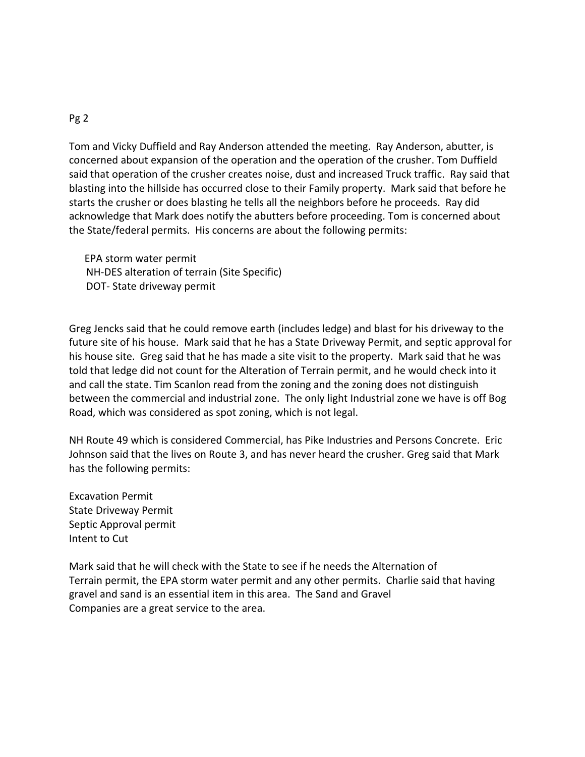## Pg 2

Tom and Vicky Duffield and Ray Anderson attended the meeting. Ray Anderson, abutter, is concerned about expansion of the operation and the operation of the crusher. Tom Duffield said that operation of the crusher creates noise, dust and increased Truck traffic. Ray said that blasting into the hillside has occurred close to their Family property. Mark said that before he starts the crusher or does blasting he tells all the neighbors before he proceeds. Ray did acknowledge that Mark does notify the abutters before proceeding. Tom is concerned about the State/federal permits. His concerns are about the following permits:

 EPA storm water permit NH-DES alteration of terrain (Site Specific) DOT-State driveway permit

Greg Jencks said that he could remove earth (includes ledge) and blast for his driveway to the future site of his house. Mark said that he has a State Driveway Permit, and septic approval for his house site. Greg said that he has made a site visit to the property. Mark said that he was told that ledge did not count for the Alteration of Terrain permit, and he would check into it and call the state. Tim Scanlon read from the zoning and the zoning does not distinguish between the commercial and industrial zone. The only light Industrial zone we have is off Bog Road, which was considered as spot zoning, which is not legal.

NH Route 49 which is considered Commercial, has Pike Industries and Persons Concrete. Eric Johnson said that the lives on Route 3, and has never heard the crusher. Greg said that Mark has the following permits:

Excavation Permit State Driveway Permit Septic Approval permit Intent to Cut

Mark said that he will check with the State to see if he needs the Alternation of Terrain permit, the EPA storm water permit and any other permits. Charlie said that having gravel and sand is an essential item in this area. The Sand and Gravel Companies are a great service to the area.